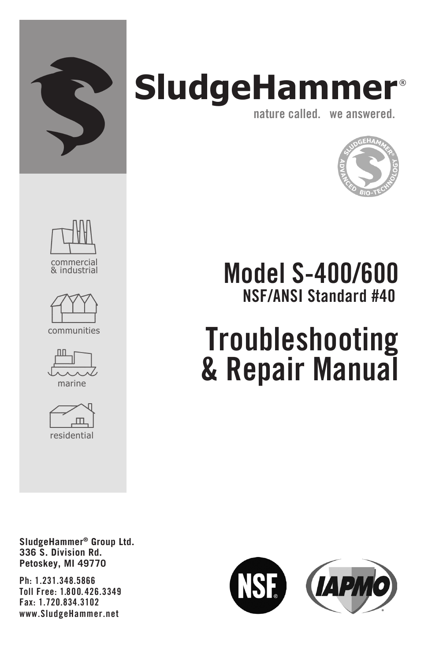

## **SludgeHammer** ® nature called. we answered.



Model S-400/600 NSF/ANSI Standard #40

# **Troubleshooting** & Repair Manual

SludgeHammer® Group Ltd. 336 S. Division Rd. Petoskey, MI 49770

Ph: 1.231.348.5866 Toll Free: 1.800. 426.3349 Fax: 1.720.834.3102 www.SludgeHammer.net

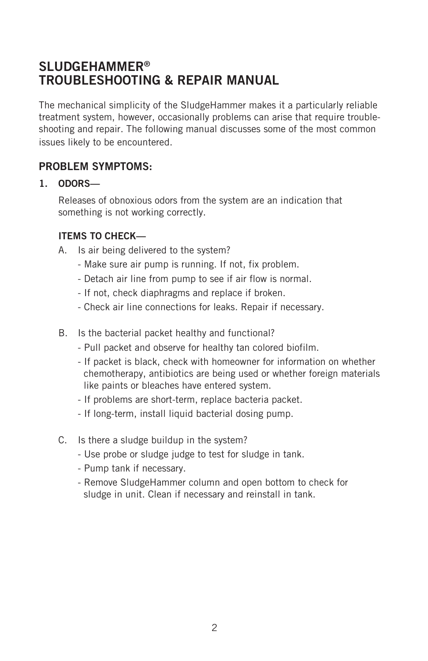### SLUDGEHAMMER® TROUBLESHOOTING & REPAIR MANUAL

The mechanical simplicity of the SludgeHammer makes it a particularly reliable treatment system, however, occasionally problems can arise that require troubleshooting and repair. The following manual discusses some of the most common issues likely to be encountered.

#### PROBLEM SYMPTOMS.

#### 1. ODORS—

Releases of obnoxious odors from the system are an indication that something is not working correctly.

#### ITEMS TO CHECK—

A. Is air being delivered to the system?

- Make sure air pump is running. If not, fix problem.
- Detach air line from pump to see if air flow is normal.
- If not, check diaphragms and replace if broken.
- Check air line connections for leaks. Repair if necessary.
- B. Is the bacterial packet healthy and functional?
	- Pull packet and observe for healthy tan colored biofilm.
	- If packet is black, check with homeowner for information on whether chemotherapy, antibiotics are being used or whether foreign materials like paints or bleaches have entered system.
	- If problems are short-term, replace bacteria packet.
	- If long-term, install liquid bacterial dosing pump.
- C. Is there a sludge buildup in the system?
	- Use probe or sludge judge to test for sludge in tank.
	- Pump tank if necessary.
	- Remove SludgeHammer column and open bottom to check for sludge in unit. Clean if necessary and reinstall in tank.